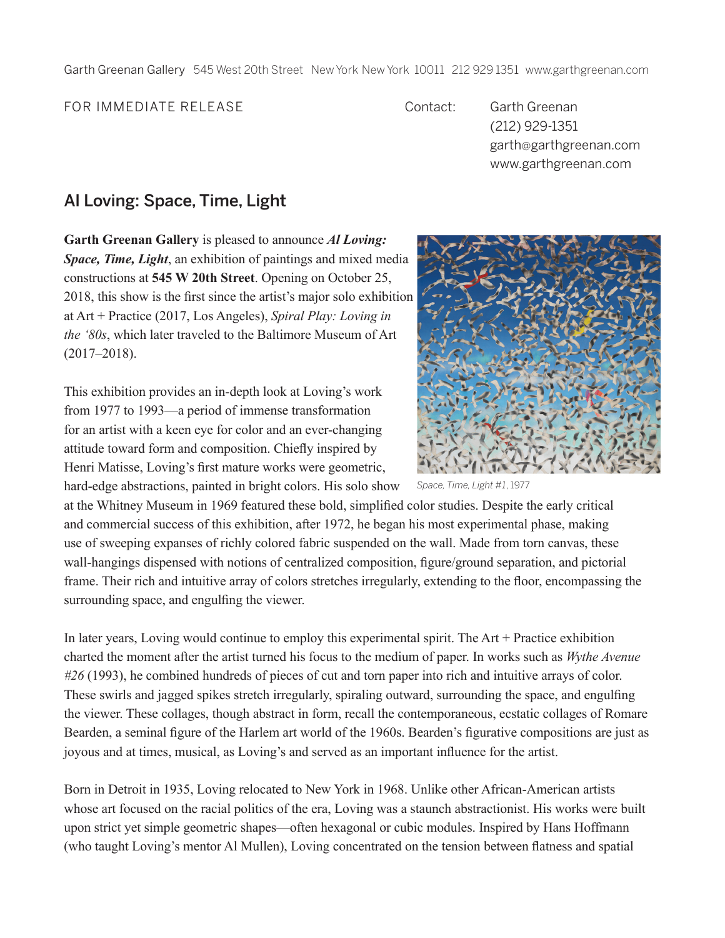Garth Greenan Gallery 545 West 20th Street New York New York 10011 212 929 1351 www.garthgreenan.com

FOR IMMEDIATE RELEASE Contact: Garth Greenan

(212) 929-1351 garth@garthgreenan.com www.garthgreenan.com

## Al Loving: Space, Time, Light

**Garth Greenan Gallery** is pleased to announce *Al Loving: Space, Time, Light*, an exhibition of paintings and mixed media constructions at **545 W 20th Street**. Opening on October 25, 2018, this show is the first since the artist's major solo exhibition at Art + Practice (2017, Los Angeles), *Spiral Play: Loving in the '80s*, which later traveled to the Baltimore Museum of Art (2017–2018).

This exhibition provides an in-depth look at Loving's work from 1977 to 1993—a period of immense transformation for an artist with a keen eye for color and an ever-changing attitude toward form and composition. Chiefly inspired by Henri Matisse, Loving's first mature works were geometric, hard-edge abstractions, painted in bright colors. His solo show



*Space, Time, Light #1*, 1977

at the Whitney Museum in 1969 featured these bold, simplified color studies. Despite the early critical and commercial success of this exhibition, after 1972, he began his most experimental phase, making use of sweeping expanses of richly colored fabric suspended on the wall. Made from torn canvas, these wall-hangings dispensed with notions of centralized composition, figure/ground separation, and pictorial frame. Their rich and intuitive array of colors stretches irregularly, extending to the floor, encompassing the surrounding space, and engulfing the viewer.

In later years, Loving would continue to employ this experimental spirit. The Art + Practice exhibition charted the moment after the artist turned his focus to the medium of paper. In works such as *Wythe Avenue #26* (1993), he combined hundreds of pieces of cut and torn paper into rich and intuitive arrays of color. These swirls and jagged spikes stretch irregularly, spiraling outward, surrounding the space, and engulfing the viewer. These collages, though abstract in form, recall the contemporaneous, ecstatic collages of Romare Bearden, a seminal figure of the Harlem art world of the 1960s. Bearden's figurative compositions are just as joyous and at times, musical, as Loving's and served as an important influence for the artist.

Born in Detroit in 1935, Loving relocated to New York in 1968. Unlike other African-American artists whose art focused on the racial politics of the era, Loving was a staunch abstractionist. His works were built upon strict yet simple geometric shapes—often hexagonal or cubic modules. Inspired by Hans Hoffmann (who taught Loving's mentor Al Mullen), Loving concentrated on the tension between flatness and spatial